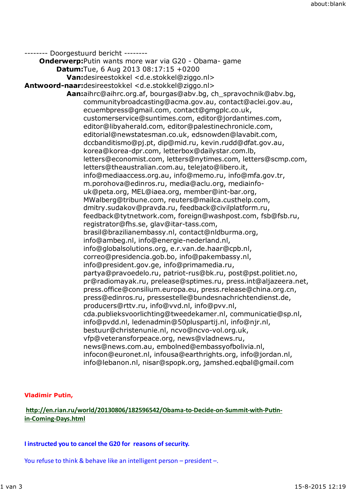-------- Doorgestuurd bericht -------- **Onderwerp:**Putin wants more war via G20 - Obama- game **Datum:**Tue, 6 Aug 2013 08:17:15 +0200 **Van:**desireestokkel <d.e.stokkel@ziggo.nl> **Antwoord-naar:**desireestokkel <d.e.stokkel@ziggo.nl> **Aan:**aihrc@aihrc.org.af, bourgas@abv.bg, ch\_spravochnik@abv.bg, communitybroadcasting@acma.gov.au, contact@aclei.gov.au, ecuembpress@gmail.com, contact@gmgplc.co.uk, customerservice@suntimes.com, editor@jordantimes.com, editor@libyaherald.com, editor@palestinechronicle.com, editorial@newstatesman.co.uk, edsnowden@lavabit.com, dccbanditismo@pj.pt, dip@mid.ru, kevin.rudd@dfat.gov.au, korea@korea-dpr.com, letterbox@dailystar.com.lb, letters@economist.com, letters@nytimes.com, letters@scmp.com, letters@theaustralian.com.au, telejato@libero.it, info@mediaaccess.org.au, info@memo.ru, info@mfa.gov.tr, m.porohova@edinros.ru, media@aclu.org, mediainfouk@peta.org, MEL@iaea.org, member@int-bar.org, MWalberg@tribune.com, reuters@mailca.custhelp.com, dmitry.sudakov@pravda.ru, feedback@civilplatform.ru, feedback@tytnetwork.com, foreign@washpost.com, fsb@fsb.ru, registrator@fhs.se, glav@itar-tass.com, brasil@brazilianembassy.nl, contact@nldburma.org, info@ambeg.nl, info@energie-nederland.nl, info@globalsolutions.org, e.r.van.de.haar@cpb.nl, correo@presidencia.gob.bo, info@pakembassy.nl, info@president.gov.ge, info@primamedia.ru, partya@pravoedelo.ru, patriot-rus@bk.ru, post@pst.politiet.no, pr@radiomayak.ru, prelease@sptimes.ru, press.int@aljazeera.net, press.office@consilium.europa.eu, press.release@china.org.cn, press@edinros.ru, pressestelle@bundesnachrichtendienst.de, producers@rttv.ru, info@vvd.nl, info@pvv.nl, cda.publieksvoorlichting@tweedekamer.nl, communicatie@sp.nl, info@pvdd.nl, ledenadmin@50pluspartij.nl, info@njr.nl, bestuur@christenunie.nl, ncvo@ncvo-vol.org.uk, vfp@veteransforpeace.org, news@vladnews.ru, news@news.com.au, embolned@embassyofbolivia.nl, infocon@euronet.nl, infousa@earthrights.org, info@jordan.nl, info@lebanon.nl, nisar@spopk.org, jamshed.eqbal@gmail.com

## **Vladimir Putin,**

# http://en.rian.ru/world/20130806/182596542/Obama-to-Decide-on-Summit-with-Putin**in-Coming-Days.html**

### **I instructed you to cancel the G20 for reasons of security.**

You refuse to think & behave like an intelligent person – president –.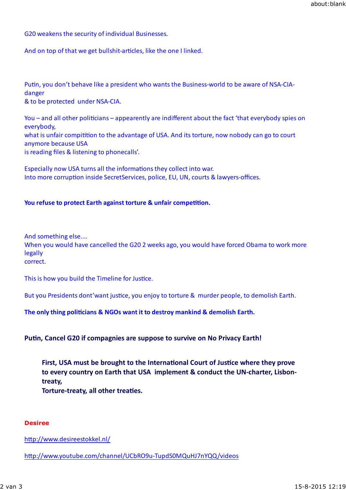G20 weakens the security of individual Businesses.

And on top of that we get bullshit-articles, like the one I linked.

Putin, you don't behave like a president who wants the Business-world to be aware of NSA-CIAdanger & to be protected under NSA-CIA.

You – and all other politicians – appearently are indifferent about the fact 'that everybody spies on everybody, what is unfair compitition to the advantage of USA. And its torture, now nobody can go to court anymore because USA is reading files & listening to phonecalls'.

Especially now USA turns all the informations they collect into war. Into more corruption inside SecretServices, police, EU, UN, courts & lawyers-offices.

### **You refuse to protect Earth against torture & unfair competition.**

And something else....

When you would have cancelled the G20 2 weeks ago, you would have forced Obama to work more legally

correct.

This is how you build the Timeline for Justice.

But you Presidents dont'want justice, you enjoy to torture & murder people, to demolish Earth.

The only thing politicians & NGOs want it to destroy mankind & demolish Earth.

Putin, Cancel G20 if compagnies are suppose to survive on No Privacy Earth!

First, USA must be brought to the International Court of Justice where they prove **to every country on Earth that USA implement & conduct the UN-charter, Lisbontreaty,**

**Torture-treaty, all other treaties.** 

#### **Desiree**

http://www.desireestokkel.nl/

http://www.youtube.com/channel/UCbRO9u-TupdS0MQuHJ7nYQQ/videos